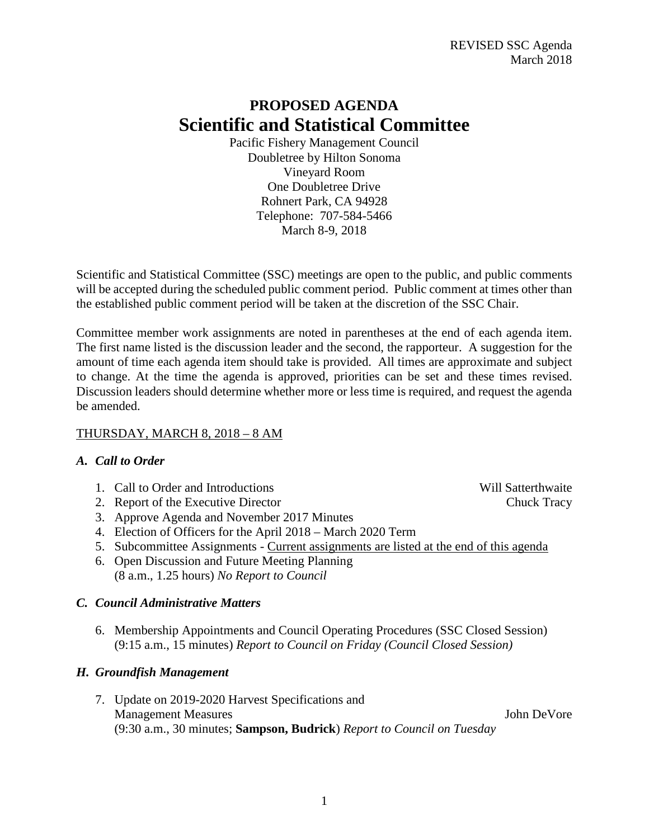## **PROPOSED AGENDA Scientific and Statistical Committee**

Pacific Fishery Management Council Doubletree by Hilton Sonoma Vineyard Room One Doubletree Drive Rohnert Park, CA 94928 Telephone: 707-584-5466 March 8-9, 2018

Scientific and Statistical Committee (SSC) meetings are open to the public, and public comments will be accepted during the scheduled public comment period. Public comment at times other than the established public comment period will be taken at the discretion of the SSC Chair.

Committee member work assignments are noted in parentheses at the end of each agenda item. The first name listed is the discussion leader and the second, the rapporteur. A suggestion for the amount of time each agenda item should take is provided. All times are approximate and subject to change. At the time the agenda is approved, priorities can be set and these times revised. Discussion leaders should determine whether more or less time is required, and request the agenda be amended.

## THURSDAY, MARCH 8, 2018 – 8 AM

## *A. Call to Order*

- 1. Call to Order and Introductions and the United States and Will Satterthwaite
- 2. Report of the Executive Director Chuck Tracy
- 3. Approve Agenda and November 2017 Minutes
- 4. Election of Officers for the April 2018 March 2020 Term
- 5. Subcommittee Assignments Current assignments are listed at the end of this agenda
- 6. Open Discussion and Future Meeting Planning (8 a.m., 1.25 hours) *No Report to Council*

## *C. Council Administrative Matters*

6. Membership Appointments and Council Operating Procedures (SSC Closed Session) (9:15 a.m., 15 minutes) *Report to Council on Friday (Council Closed Session)*

## *H. Groundfish Management*

7. Update on 2019-2020 Harvest Specifications and Management Measures John DeVore (9:30 a.m., 30 minutes; **Sampson, Budrick**) *Report to Council on Tuesday*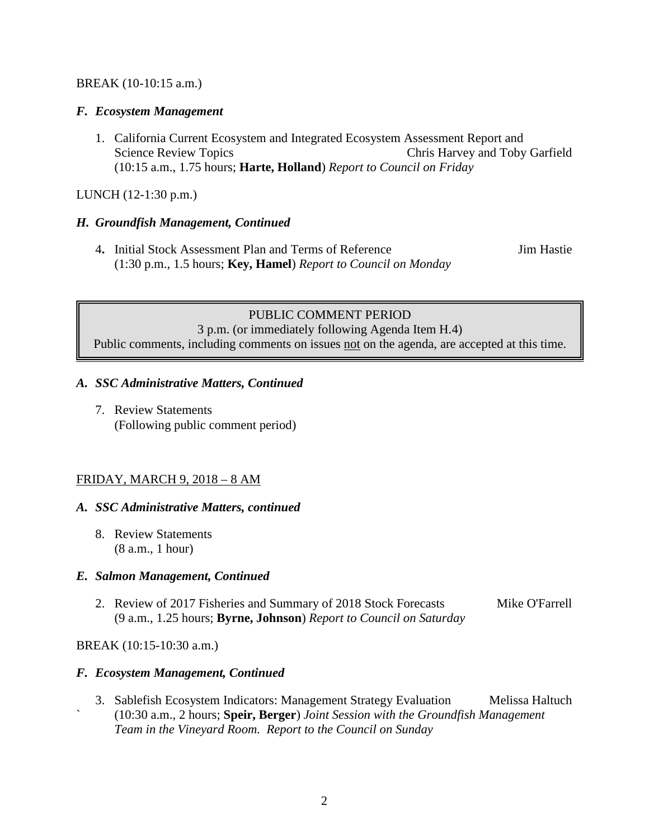#### BREAK (10-10:15 a.m.)

#### *F. Ecosystem Management*

1. California Current Ecosystem and Integrated Ecosystem Assessment Report and Science Review Topics Chris Harvey and Toby Garfield (10:15 a.m., 1.75 hours; **Harte, Holland**) *Report to Council on Friday*

#### LUNCH (12-1:30 p.m.)

#### *H. Groundfish Management, Continued*

4**.** Initial Stock Assessment Plan and Terms of Reference Jim Hastie (1:30 p.m., 1.5 hours; **Key, Hamel**) *Report to Council on Monday*

## PUBLIC COMMENT PERIOD

3 p.m. (or immediately following Agenda Item H.4) Public comments, including comments on issues not on the agenda, are accepted at this time.

#### *A. SSC Administrative Matters, Continued*

7. Review Statements (Following public comment period)

#### FRIDAY, MARCH 9, 2018 – 8 AM

#### *A. SSC Administrative Matters, continued*

8. Review Statements (8 a.m., 1 hour)

#### *E. Salmon Management, Continued*

2. Review of 2017 Fisheries and Summary of 2018 Stock Forecasts Mike O'Farrell (9 a.m., 1.25 hours; **Byrne, Johnson**) *Report to Council on Saturday*

#### BREAK (10:15-10:30 a.m.)

#### *F. Ecosystem Management, Continued*

3. Sablefish Ecosystem Indicators: Management Strategy Evaluation Melissa Haltuch ` (10:30 a.m., 2 hours; **Speir, Berger**) *Joint Session with the Groundfish Management Team in the Vineyard Room. Report to the Council on Sunday*